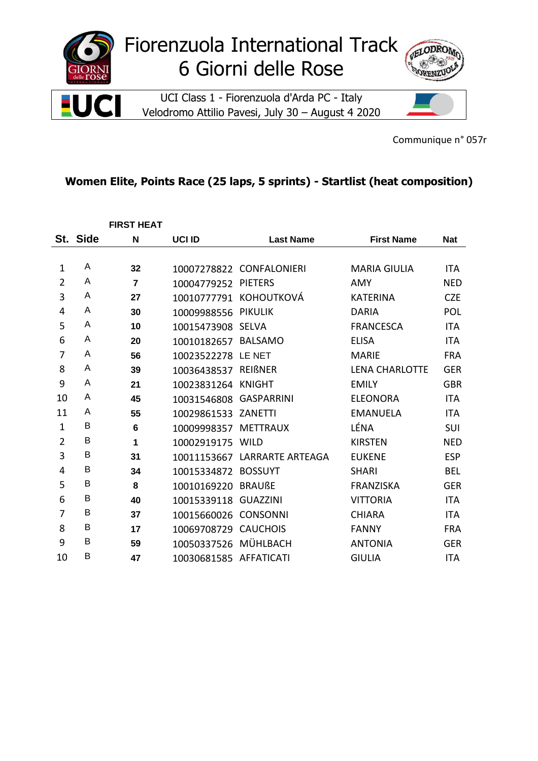

Communique n° 057r

## Women Elite, Points Race (25 laps, 5 sprints) - Startlist (heat composition)

|                |          | <b>FIRST HEAT</b> |                        |                          |                       |            |
|----------------|----------|-------------------|------------------------|--------------------------|-----------------------|------------|
|                | St. Side | N                 | <b>UCI ID</b>          | <b>Last Name</b>         | <b>First Name</b>     | <b>Nat</b> |
|                |          |                   |                        |                          |                       |            |
| 1              | A        | 32                |                        | 10007278822 CONFALONIERI | <b>MARIA GIULIA</b>   | <b>ITA</b> |
| $\overline{2}$ | A        | $\overline{7}$    | 10004779252            | <b>PIETERS</b>           | AMY                   | <b>NED</b> |
| 3              | A        | 27                | 10010777791            | <b>KOHOUTKOVÁ</b>        | <b>KATERINA</b>       | <b>CZE</b> |
| 4              | A        | 30                | 10009988556            | <b>PIKULIK</b>           | <b>DARIA</b>          | POL        |
| 5              | A        | 10                | 10015473908            | <b>SELVA</b>             | <b>FRANCESCA</b>      | <b>ITA</b> |
| 6              | A        | 20                | 10010182657            | <b>BALSAMO</b>           | <b>ELISA</b>          | <b>ITA</b> |
| 7              | A        | 56                | 10023522278 LE NET     |                          | <b>MARIE</b>          | <b>FRA</b> |
| 8              | A        | 39                | 10036438537            | <b>REIBNER</b>           | <b>LENA CHARLOTTE</b> | <b>GER</b> |
| 9              | A        | 21                | 10023831264 KNIGHT     |                          | <b>EMILY</b>          | <b>GBR</b> |
| 10             | A        | 45                | 10031546808            | <b>GASPARRINI</b>        | <b>ELEONORA</b>       | <b>ITA</b> |
| 11             | A        | 55                | 10029861533            | ZANETTI                  | <b>EMANUELA</b>       | <b>ITA</b> |
| $\mathbf{1}$   | В        | 6                 | 10009998357            | <b>METTRAUX</b>          | LÉNA                  | SUI        |
| $\overline{2}$ | В        | 1                 | 10002919175            | WILD                     | <b>KIRSTEN</b>        | <b>NED</b> |
| 3              | В        | 31                | 10011153667            | LARRARTE ARTEAGA         | <b>EUKENE</b>         | <b>ESP</b> |
| 4              | В        | 34                | 10015334872            | <b>BOSSUYT</b>           | <b>SHARI</b>          | <b>BEL</b> |
| 5              | В        | 8                 | 10010169220            | <b>BRAUßE</b>            | <b>FRANZISKA</b>      | <b>GER</b> |
| 6              | В        | 40                | 10015339118            | <b>GUAZZINI</b>          | <b>VITTORIA</b>       | <b>ITA</b> |
| $\overline{7}$ | B        | 37                | 10015660026            | <b>CONSONNI</b>          | <b>CHIARA</b>         | <b>ITA</b> |
| 8              | В        | 17                | 10069708729            | <b>CAUCHOIS</b>          | <b>FANNY</b>          | <b>FRA</b> |
| 9              | B        | 59                | 10050337526            | MÜHLBACH                 | <b>ANTONIA</b>        | <b>GER</b> |
| 10             | B        | 47                | 10030681585 AFFATICATI |                          | <b>GIULIA</b>         | <b>ITA</b> |